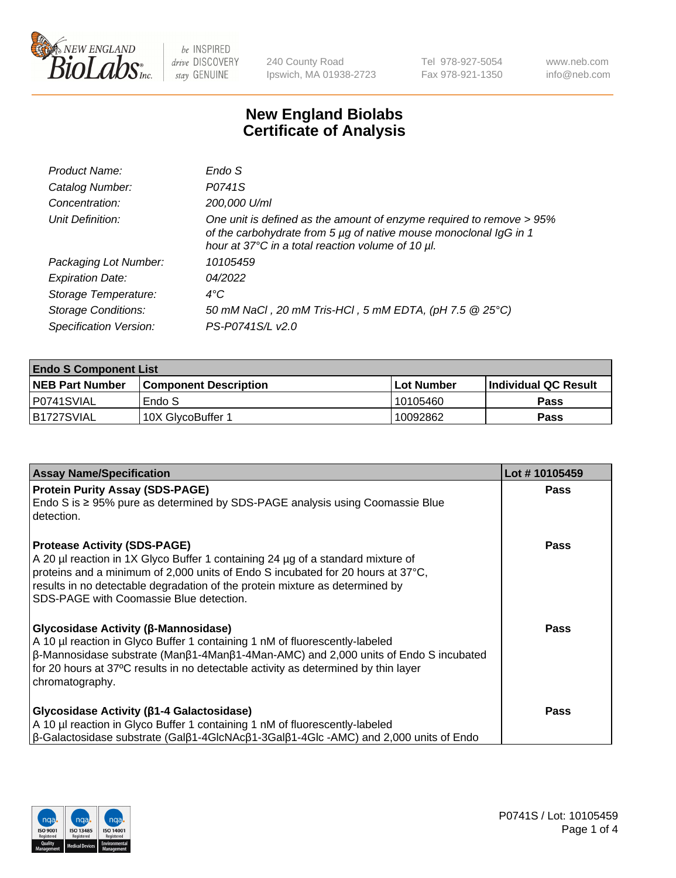

240 County Road Ipswich, MA 01938-2723 Tel 978-927-5054 Fax 978-921-1350 www.neb.com info@neb.com

## **New England Biolabs Certificate of Analysis**

| Product Name:              | Endo S                                                                                                                                                                                         |
|----------------------------|------------------------------------------------------------------------------------------------------------------------------------------------------------------------------------------------|
| Catalog Number:            | P0741S                                                                                                                                                                                         |
| Concentration:             | 200,000 U/ml                                                                                                                                                                                   |
| Unit Definition:           | One unit is defined as the amount of enzyme required to remove > 95%<br>of the carbohydrate from 5 µg of native mouse monoclonal IgG in 1<br>hour at 37°C in a total reaction volume of 10 µl. |
| Packaging Lot Number:      | 10105459                                                                                                                                                                                       |
| <b>Expiration Date:</b>    | 04/2022                                                                                                                                                                                        |
| Storage Temperature:       | $4^{\circ}$ C                                                                                                                                                                                  |
| <b>Storage Conditions:</b> | 50 mM NaCl, 20 mM Tris-HCl, 5 mM EDTA, (pH 7.5 @ 25°C)                                                                                                                                         |
| Specification Version:     | PS-P0741S/L v2.0                                                                                                                                                                               |

| <b>Endo S Component List</b> |                         |              |                             |  |  |
|------------------------------|-------------------------|--------------|-----------------------------|--|--|
| <b>NEB Part Number</b>       | l Component Description | l Lot Number | <b>Individual QC Result</b> |  |  |
| P0741SVIAL                   | Endo S                  | 10105460     | <b>Pass</b>                 |  |  |
| IB1727SVIAL                  | 10X GlycoBuffer 1       | 10092862     | Pass                        |  |  |

| <b>Assay Name/Specification</b>                                                                                                                                                                                                                                                                                                       | Lot #10105459 |
|---------------------------------------------------------------------------------------------------------------------------------------------------------------------------------------------------------------------------------------------------------------------------------------------------------------------------------------|---------------|
| <b>Protein Purity Assay (SDS-PAGE)</b><br>Endo S is $\geq$ 95% pure as determined by SDS-PAGE analysis using Coomassie Blue<br>detection.                                                                                                                                                                                             | <b>Pass</b>   |
| <b>Protease Activity (SDS-PAGE)</b><br>A 20 µl reaction in 1X Glyco Buffer 1 containing 24 µg of a standard mixture of<br>proteins and a minimum of 2,000 units of Endo S incubated for 20 hours at 37°C,<br>results in no detectable degradation of the protein mixture as determined by<br>ISDS-PAGE with Coomassie Blue detection. | <b>Pass</b>   |
| <b>Glycosidase Activity (β-Mannosidase)</b><br>A 10 µl reaction in Glyco Buffer 1 containing 1 nM of fluorescently-labeled<br>$\beta$ -Mannosidase substrate (Μanβ1-4Μanβ1-4Μan-AMC) and 2,000 units of Endo S incubated<br>for 20 hours at 37°C results in no detectable activity as determined by thin layer<br>chromatography.     | Pass          |
| <b>Glycosidase Activity (β1-4 Galactosidase)</b><br>A 10 µl reaction in Glyco Buffer 1 containing 1 nM of fluorescently-labeled<br>$\beta$ -Galactosidase substrate (Gal $\beta$ 1-4GlcNAc $\beta$ 1-3Gal $\beta$ 1-4Glc -AMC) and 2,000 units of Endo                                                                                | <b>Pass</b>   |

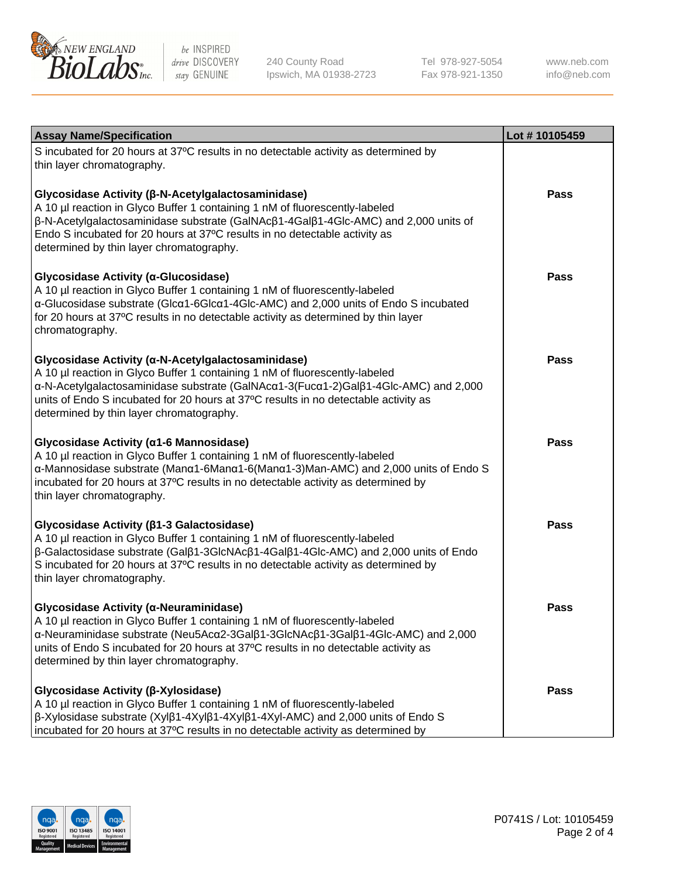

240 County Road Ipswich, MA 01938-2723 Tel 978-927-5054 Fax 978-921-1350

www.neb.com info@neb.com

| <b>Assay Name/Specification</b>                                                                                                                                                                                                                                                                                                                                     | Lot #10105459 |
|---------------------------------------------------------------------------------------------------------------------------------------------------------------------------------------------------------------------------------------------------------------------------------------------------------------------------------------------------------------------|---------------|
| S incubated for 20 hours at 37°C results in no detectable activity as determined by<br>thin layer chromatography.                                                                                                                                                                                                                                                   |               |
| Glycosidase Activity (β-N-Acetylgalactosaminidase)<br>A 10 µl reaction in Glyco Buffer 1 containing 1 nM of fluorescently-labeled<br>β-N-Acetylgalactosaminidase substrate (GalNAcβ1-4Galβ1-4Glc-AMC) and 2,000 units of<br>Endo S incubated for 20 hours at 37°C results in no detectable activity as<br>determined by thin layer chromatography.                  | <b>Pass</b>   |
| Glycosidase Activity (α-Glucosidase)<br>A 10 µl reaction in Glyco Buffer 1 containing 1 nM of fluorescently-labeled<br>α-Glucosidase substrate (Glcα1-6Glcα1-4Glc-AMC) and 2,000 units of Endo S incubated<br>for 20 hours at 37°C results in no detectable activity as determined by thin layer<br>chromatography.                                                 | <b>Pass</b>   |
| Glycosidase Activity (α-N-Acetylgalactosaminidase)<br>A 10 µl reaction in Glyco Buffer 1 containing 1 nM of fluorescently-labeled<br>α-N-Acetylgalactosaminidase substrate (GalNAcα1-3(Fucα1-2)Galβ1-4Glc-AMC) and 2,000<br>units of Endo S incubated for 20 hours at 37°C results in no detectable activity as<br>determined by thin layer chromatography.         | Pass          |
| Glycosidase Activity (a1-6 Mannosidase)<br>A 10 µl reaction in Glyco Buffer 1 containing 1 nM of fluorescently-labeled<br>α-Mannosidase substrate (Μanα1-6Μanα1-6(Μanα1-3)Man-AMC) and 2,000 units of Endo S<br>incubated for 20 hours at 37°C results in no detectable activity as determined by<br>thin layer chromatography.                                     | Pass          |
| Glycosidase Activity (β1-3 Galactosidase)<br>A 10 µl reaction in Glyco Buffer 1 containing 1 nM of fluorescently-labeled<br>$\beta$ -Galactosidase substrate (Gal $\beta$ 1-3GlcNAc $\beta$ 1-4Gal $\beta$ 1-4Glc-AMC) and 2,000 units of Endo<br>S incubated for 20 hours at 37°C results in no detectable activity as determined by<br>thin layer chromatography. | <b>Pass</b>   |
| Glycosidase Activity (α-Neuraminidase)<br>A 10 µl reaction in Glyco Buffer 1 containing 1 nM of fluorescently-labeled<br>α-Neuraminidase substrate (Neu5Acα2-3Galβ1-3GlcNAcβ1-3Galβ1-4Glc-AMC) and 2,000<br>units of Endo S incubated for 20 hours at 37°C results in no detectable activity as<br>determined by thin layer chromatography.                         | Pass          |
| Glycosidase Activity (β-Xylosidase)<br>A 10 µl reaction in Glyco Buffer 1 containing 1 nM of fluorescently-labeled<br>$\beta$ -Xylosidase substrate (Xyl $\beta$ 1-4Xyl $\beta$ 1-4Xyl $\beta$ 1-4Xyl-AMC) and 2,000 units of Endo S<br>incubated for 20 hours at 37°C results in no detectable activity as determined by                                           | Pass          |

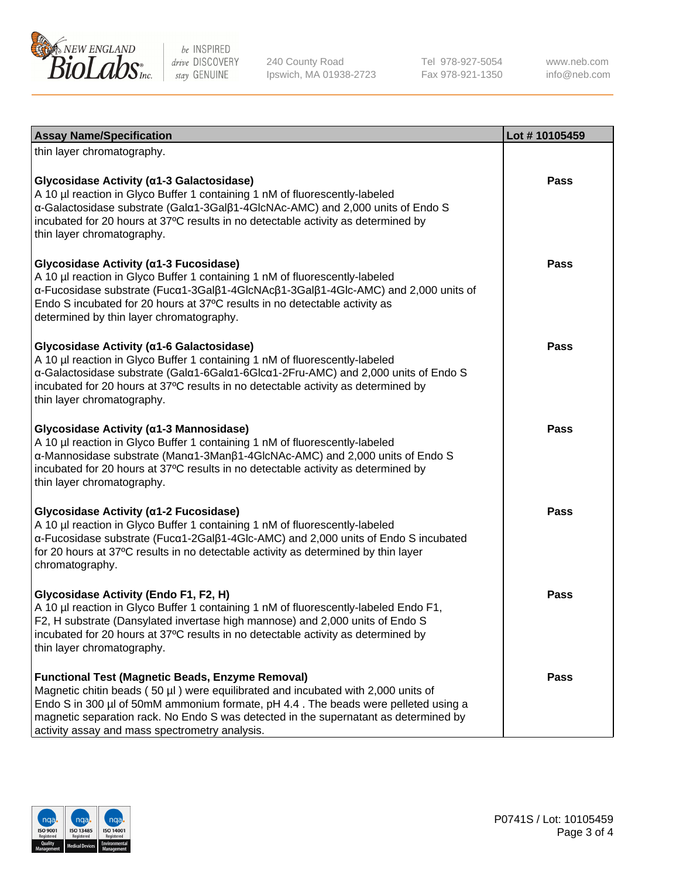

240 County Road Ipswich, MA 01938-2723 Tel 978-927-5054 Fax 978-921-1350

www.neb.com info@neb.com

| <b>Assay Name/Specification</b>                                                                                                                                                                                                                                                                                                                                              | Lot #10105459 |
|------------------------------------------------------------------------------------------------------------------------------------------------------------------------------------------------------------------------------------------------------------------------------------------------------------------------------------------------------------------------------|---------------|
| thin layer chromatography.                                                                                                                                                                                                                                                                                                                                                   |               |
| Glycosidase Activity (a1-3 Galactosidase)<br>A 10 µl reaction in Glyco Buffer 1 containing 1 nM of fluorescently-labeled<br>a-Galactosidase substrate (Gala1-3Galß1-4GlcNAc-AMC) and 2,000 units of Endo S<br>incubated for 20 hours at 37°C results in no detectable activity as determined by<br>thin layer chromatography.                                                | <b>Pass</b>   |
| Glycosidase Activity (α1-3 Fucosidase)<br>A 10 µl reaction in Glyco Buffer 1 containing 1 nM of fluorescently-labeled<br>α-Fucosidase substrate (Fucα1-3Galβ1-4GlcNAcβ1-3Galβ1-4Glc-AMC) and 2,000 units of<br>Endo S incubated for 20 hours at 37°C results in no detectable activity as<br>determined by thin layer chromatography.                                        | <b>Pass</b>   |
| Glycosidase Activity (a1-6 Galactosidase)<br>A 10 µl reaction in Glyco Buffer 1 containing 1 nM of fluorescently-labeled<br>α-Galactosidase substrate (Galα1-6Galα1-6Glcα1-2Fru-AMC) and 2,000 units of Endo S<br>incubated for 20 hours at 37°C results in no detectable activity as determined by<br>thin layer chromatography.                                            | Pass          |
| Glycosidase Activity (a1-3 Mannosidase)<br>A 10 µl reaction in Glyco Buffer 1 containing 1 nM of fluorescently-labeled<br>α-Mannosidase substrate (Manα1-3Manβ1-4GlcNAc-AMC) and 2,000 units of Endo S<br>incubated for 20 hours at 37°C results in no detectable activity as determined by<br>thin layer chromatography.                                                    | <b>Pass</b>   |
| Glycosidase Activity (a1-2 Fucosidase)<br>A 10 µl reaction in Glyco Buffer 1 containing 1 nM of fluorescently-labeled<br>α-Fucosidase substrate (Fucα1-2Galβ1-4Glc-AMC) and 2,000 units of Endo S incubated<br>for 20 hours at 37°C results in no detectable activity as determined by thin layer<br>chromatography.                                                         | <b>Pass</b>   |
| Glycosidase Activity (Endo F1, F2, H)<br>A 10 µl reaction in Glyco Buffer 1 containing 1 nM of fluorescently-labeled Endo F1,<br>F2, H substrate (Dansylated invertase high mannose) and 2,000 units of Endo S<br>incubated for 20 hours at 37°C results in no detectable activity as determined by<br>thin layer chromatography.                                            | Pass          |
| <b>Functional Test (Magnetic Beads, Enzyme Removal)</b><br>Magnetic chitin beads (50 µl) were equilibrated and incubated with 2,000 units of<br>Endo S in 300 µl of 50mM ammonium formate, pH 4.4. The beads were pelleted using a<br>magnetic separation rack. No Endo S was detected in the supernatant as determined by<br>activity assay and mass spectrometry analysis. | <b>Pass</b>   |